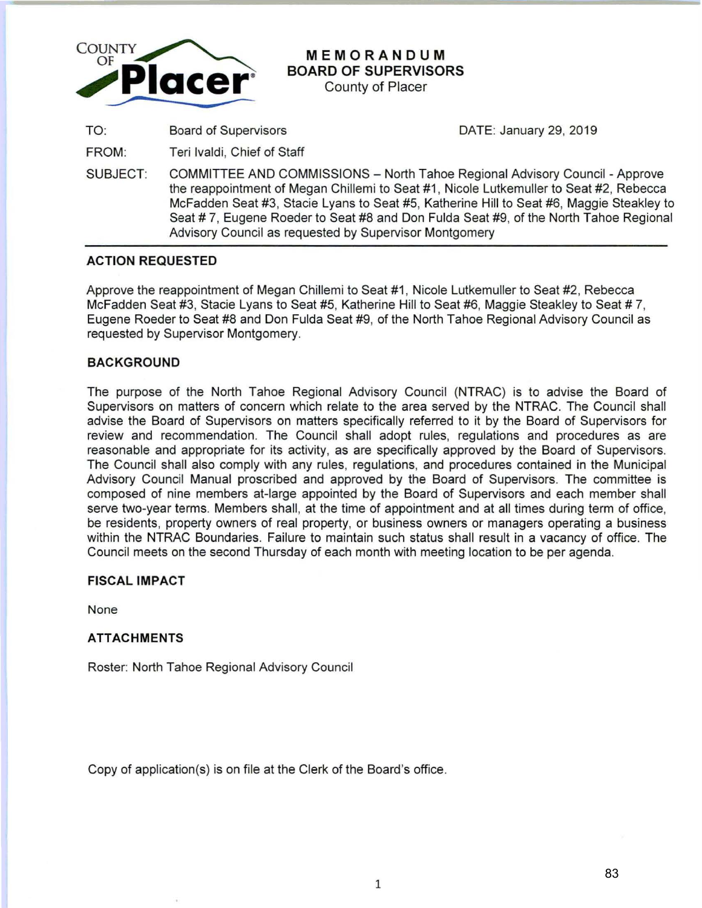

**MEMORANDUM BOARD OF SUPERVISORS** 

County of Placer

TO: Board of Supervisors

DATE: January 29, 2019

FROM: Teri lvaldi, Chief of Staff

SUBJECT: COMMITTEE AND COMMISSIONS- North Tahoe Regional Advisory Council- Approve the reappointment of Megan Chillemi to Seat #1, Nicole Lutkemuller to Seat #2, Rebecca McFadden Seat #3, Stacie Lyans to Seat #5, Katherine Hill to Seat #6, Maggie Steakley to Seat # 7, Eugene Roeder to Seat #8 and Don Fulda Seat #9, of the North Tahoe Regional Advisory Council as requested by Supervisor Montgomery

# **ACTION REQUESTED**

Approve the reappointment of Megan Chillemi to Seat #1 , Nicole Lutkemuller to Seat #2, Rebecca McFadden Seat #3, Stacie Lyans to Seat #5, Katherine Hill to Seat #6, Maggie Steakley to Seat #7, Eugene Roeder to Seat #8 and Don Fulda Seat #9, of the North Tahoe Regional Advisory Council as requested by Supervisor Montgomery.

## **BACKGROUND**

The purpose of the North Tahoe Regional Advisory Council (NTRAC) is to advise the Board of Supervisors on matters of concern which relate to the area served by the NTRAC. The Council shall advise the Board of Supervisors on matters specifically referred to it by the Board of Supervisors for review and recommendation. The Council shall adopt rules, regulations and procedures as are reasonable and appropriate for its activity, as are specifically approved by the Board of Supervisors. The Council shall also comply with any rules, regulations, and procedures contained in the Municipal Advisory Council Manual proscribed and approved by the Board of Supervisors. The committee is composed of nine members at-large appointed by the Board of Supervisors and each member shall serve two-year terms. Members shall, at the time of appointment and at all times during term of office, be residents, property owners of real property, or business owners or managers operating a business within the NTRAC Boundaries. Failure to maintain such status shall result in a vacancy of office. The Council meets on the second Thursday of each month with meeting location to be per agenda.

## **FISCAL IMPACT**

None

## **ATTACHMENTS**

Roster: North Tahoe Regional Advisory Council

Copy of application(s) is on file at the Clerk of the Board's office.